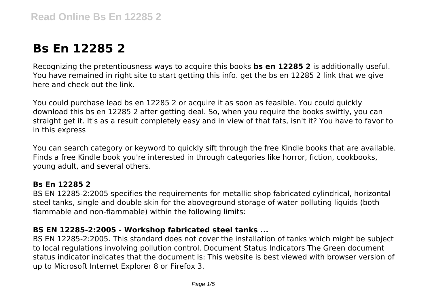# **Bs En 12285 2**

Recognizing the pretentiousness ways to acquire this books **bs en 12285 2** is additionally useful. You have remained in right site to start getting this info. get the bs en 12285 2 link that we give here and check out the link.

You could purchase lead bs en 12285 2 or acquire it as soon as feasible. You could quickly download this bs en 12285 2 after getting deal. So, when you require the books swiftly, you can straight get it. It's as a result completely easy and in view of that fats, isn't it? You have to favor to in this express

You can search category or keyword to quickly sift through the free Kindle books that are available. Finds a free Kindle book you're interested in through categories like horror, fiction, cookbooks, young adult, and several others.

#### **Bs En 12285 2**

BS EN 12285-2:2005 specifies the requirements for metallic shop fabricated cylindrical, horizontal steel tanks, single and double skin for the aboveground storage of water polluting liquids (both flammable and non-flammable) within the following limits:

#### **BS EN 12285-2:2005 - Workshop fabricated steel tanks ...**

BS EN 12285-2:2005. This standard does not cover the installation of tanks which might be subject to local regulations involving pollution control. Document Status Indicators The Green document status indicator indicates that the document is: This website is best viewed with browser version of up to Microsoft Internet Explorer 8 or Firefox 3.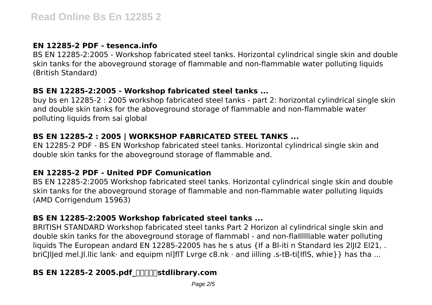#### **EN 12285-2 PDF - tesenca.info**

BS EN 12285-2:2005 - Workshop fabricated steel tanks. Horizontal cylindrical single skin and double skin tanks for the aboveground storage of flammable and non-flammable water polluting liquids (British Standard)

#### **BS EN 12285-2:2005 - Workshop fabricated steel tanks ...**

buy bs en 12285-2 : 2005 workshop fabricated steel tanks - part 2: horizontal cylindrical single skin and double skin tanks for the aboveground storage of flammable and non-flammable water polluting liquids from sai global

# **BS EN 12285-2 : 2005 | WORKSHOP FABRICATED STEEL TANKS ...**

EN 12285-2 PDF - BS EN Workshop fabricated steel tanks. Horizontal cylindrical single skin and double skin tanks for the aboveground storage of flammable and.

# **EN 12285-2 PDF - United PDF Comunication**

BS EN 12285-2:2005 Workshop fabricated steel tanks. Horizontal cylindrical single skin and double skin tanks for the aboveground storage of flammable and non-flammable water polluting liquids (AMD Corrigendum 15963)

# **BS EN 12285-2:2005 Workshop fabricated steel tanks ...**

BRITISH STANDARD Workshop fabricated steel tanks Part 2 Horizon al cylindrical single skin and double skin tanks for the aboveground storage of flammabl - and non-flaIlllllable water polluting liquids The European andard EN 12285-22005 has he s atus {If a Bl-iti n Standard les 2llI2 El21, briCIIIed mel.II.IIic lank· and equipm nl]fIT Lyrge c8.nk · and iilling .s-tB-ti[IflS, whie}} has tha ...

# **BS EN 12285-2 2005.pdf**  $\text{min}$ **stdlibrary.com**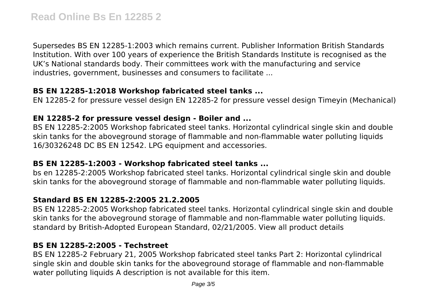Supersedes BS EN 12285-1:2003 which remains current. Publisher Information British Standards Institution. With over 100 years of experience the British Standards Institute is recognised as the UK's National standards body. Their committees work with the manufacturing and service industries, government, businesses and consumers to facilitate ...

#### **BS EN 12285-1:2018 Workshop fabricated steel tanks ...**

EN 12285-2 for pressure vessel design EN 12285-2 for pressure vessel design Timeyin (Mechanical)

#### **EN 12285-2 for pressure vessel design - Boiler and ...**

BS EN 12285-2:2005 Workshop fabricated steel tanks. Horizontal cylindrical single skin and double skin tanks for the aboveground storage of flammable and non-flammable water polluting liquids 16/30326248 DC BS EN 12542. LPG equipment and accessories.

#### **BS EN 12285-1:2003 - Workshop fabricated steel tanks ...**

bs en 12285-2:2005 Workshop fabricated steel tanks. Horizontal cylindrical single skin and double skin tanks for the aboveground storage of flammable and non-flammable water polluting liquids.

# **Standard BS EN 12285-2:2005 21.2.2005**

BS EN 12285-2:2005 Workshop fabricated steel tanks. Horizontal cylindrical single skin and double skin tanks for the aboveground storage of flammable and non-flammable water polluting liquids. standard by British-Adopted European Standard, 02/21/2005. View all product details

#### **BS EN 12285-2:2005 - Techstreet**

BS EN 12285-2 February 21, 2005 Workshop fabricated steel tanks Part 2: Horizontal cylindrical single skin and double skin tanks for the aboveground storage of flammable and non-flammable water polluting liquids A description is not available for this item.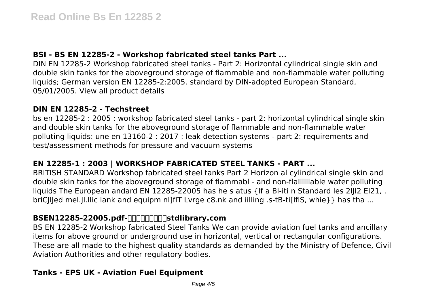### **BSI - BS EN 12285-2 - Workshop fabricated steel tanks Part ...**

DIN EN 12285-2 Workshop fabricated steel tanks - Part 2: Horizontal cylindrical single skin and double skin tanks for the aboveground storage of flammable and non-flammable water polluting liquids; German version EN 12285-2:2005. standard by DIN-adopted European Standard, 05/01/2005. View all product details

#### **DIN EN 12285-2 - Techstreet**

bs en 12285-2 : 2005 : workshop fabricated steel tanks - part 2: horizontal cylindrical single skin and double skin tanks for the aboveground storage of flammable and non-flammable water polluting liquids: une en 13160-2 : 2017 : leak detection systems - part 2: requirements and test/assessment methods for pressure and vacuum systems

#### **EN 12285-1 : 2003 | WORKSHOP FABRICATED STEEL TANKS - PART ...**

BRITISH STANDARD Workshop fabricated steel tanks Part 2 Horizon al cylindrical single skin and double skin tanks for the aboveground storage of flammabl - and non-flaIlllllable water polluting liquids The European andard EN 12285-22005 has he s atus {If a Bl-iti n Standard les 2llI2 El21. briCIIIed mel.Jl.Ilic lank and equipm nl]fIT Lvrge c8.nk and iilling .s-tB-ti[IflS, whie}} has tha ...

#### BSEN12285-22005.pdf- $\Box$

BS EN 12285-2 Workshop fabricated Steel Tanks We can provide aviation fuel tanks and ancillary items for above ground or underground use in horizontal, vertical or rectangular configurations. These are all made to the highest quality standards as demanded by the Ministry of Defence, Civil Aviation Authorities and other regulatory bodies.

# **Tanks - EPS UK - Aviation Fuel Equipment**